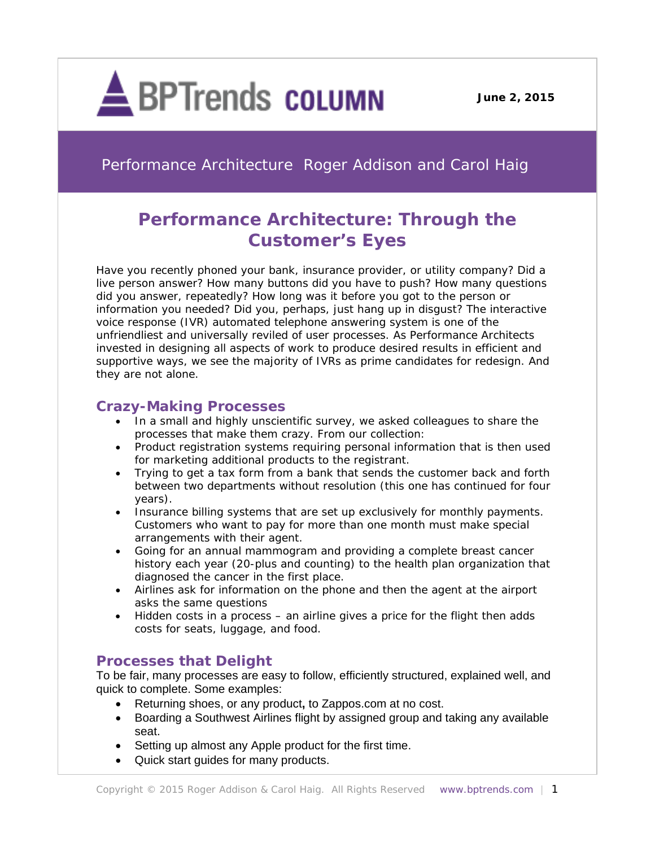

Performance Architecture Roger Addison and Carol Haig

# **Performance Architecture: Through the Customer's Eyes**

Have you recently phoned your bank, insurance provider, or utility company? Did a live person answer? How many buttons did you have to push? How many questions did you answer, repeatedly? How long was it before you got to the person or information you needed? Did you, perhaps, just hang up in disgust? The interactive voice response (IVR) automated telephone answering system is one of the unfriendliest and universally reviled of user processes. As Performance Architects invested in designing all aspects of work to produce desired results in efficient and supportive ways, we see the majority of IVRs as prime candidates for redesign. And they are not alone.

# **Crazy-Making Processes**

- In a small and highly unscientific survey, we asked colleagues to share the processes that make them crazy. From our collection:
- Product registration systems requiring personal information that is then used for marketing additional products to the registrant.
- Trying to get a tax form from a bank that sends the customer back and forth between two departments without resolution (this one has continued for four years).
- Insurance billing systems that are set up exclusively for monthly payments. Customers who want to pay for more than one month must make special arrangements with their agent.
- Going for an annual mammogram and providing a complete breast cancer history each year (20-plus and counting) to the health plan organization that diagnosed the cancer in the first place.
- Airlines ask for information on the phone and then the agent at the airport asks the same questions
- Hidden costs in a process an airline gives a price for the flight then adds costs for seats, luggage, and food.

# **Processes that Delight**

To be fair, many processes are easy to follow, efficiently structured, explained well, and quick to complete. Some examples:

- Returning shoes, or any product**,** to Zappos.com at no cost.
- Boarding a Southwest Airlines flight by assigned group and taking any available seat.
- Setting up almost any Apple product for the first time.
- Quick start guides for many products.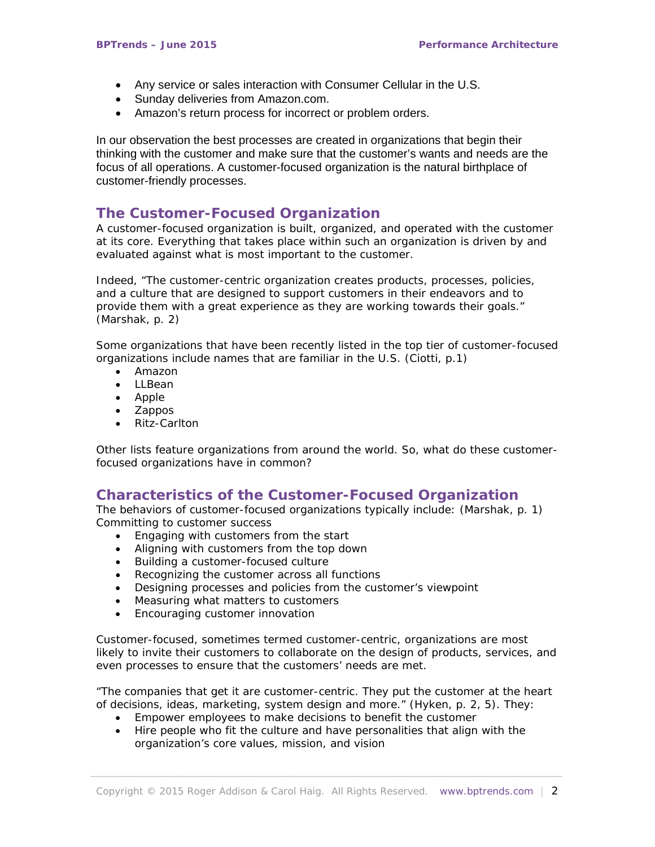- Any service or sales interaction with Consumer Cellular in the U.S.
- Sunday deliveries from Amazon.com.
- Amazon's return process for incorrect or problem orders.

In our observation the best processes are created in organizations that begin their thinking with the customer and make sure that the customer's wants and needs are the focus of all operations. A customer-focused organization is the natural birthplace of customer-friendly processes.

### **The Customer-Focused Organization**

A customer-focused organization is built, organized, and operated with the customer at its core. Everything that takes place within such an organization is driven by and evaluated against what is most important to the customer.

Indeed, "The customer-centric organization creates products, processes, policies, and a culture that are designed to support customers in their endeavors and to provide them with a great experience as they are working towards their goals." (Marshak, p. 2)

Some organizations that have been recently listed in the top tier of customer-focused organizations include names that are familiar in the U.S. (Ciotti, p.1)

- Amazon
- LLBean
- Apple
- Zappos
- Ritz-Carlton

Other lists feature organizations from around the world. So, what do these customerfocused organizations have in common?

### **Characteristics of the Customer-Focused Organization**

The behaviors of customer-focused organizations typically include: (Marshak, p. 1) Committing to customer success

- Engaging with customers from the start
- Aligning with customers from the top down
- Building a customer-focused culture
- Recognizing the customer across all functions
- Designing processes and policies from the customer's viewpoint
- Measuring what matters to customers
- Encouraging customer innovation

Customer-focused, sometimes termed customer-centric, organizations are most likely to invite their customers to collaborate on the design of products, services, and even processes to ensure that the customers' needs are met.

"The companies that get it are customer-centric. They put the customer at the heart of decisions, ideas, marketing, system design and more." (Hyken, p. 2, 5). They:

- Empower employees to make decisions to benefit the customer
- Hire people who fit the culture and have personalities that align with the organization's core values, mission, and vision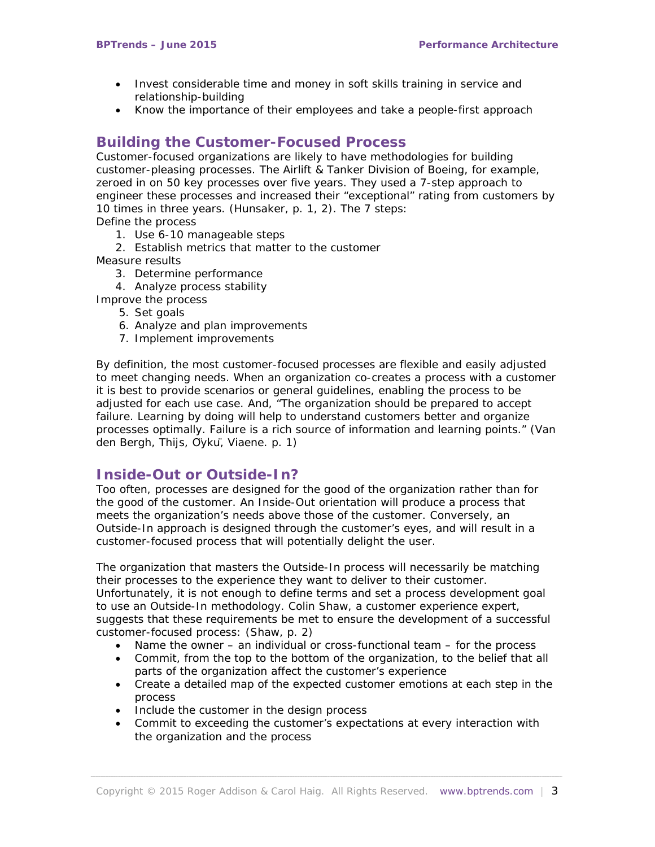- Invest considerable time and money in soft skills training in service and relationship-building
- Know the importance of their employees and take a people-first approach

## **Building the Customer-Focused Process**

Customer-focused organizations are likely to have methodologies for building customer-pleasing processes. The Airlift & Tanker Division of Boeing, for example, zeroed in on 50 key processes over five years. They used a 7-step approach to engineer these processes and increased their "exceptional" rating from customers by 10 times in three years. (Hunsaker, p. 1, 2). The 7 steps:

Define the process

- 1. Use 6-10 manageable steps
- 2. Establish metrics that matter to the customer

Measure results

- 3. Determine performance
- 4. Analyze process stability
- Improve the process
	- 5. Set goals
	- 6. Analyze and plan improvements
	- 7. Implement improvements

By definition, the most customer-focused processes are flexible and easily adjusted to meet changing needs. When an organization co-creates a process with a customer it is best to provide scenarios or general guidelines, enabling the process to be adjusted for each use case. And, "The organization should be prepared to accept failure. Learning by doing will help to understand customers better and organize processes optimally. Failure is a rich source of information and learning points." (Van den Bergh, Thijs, Öykü, Viaene. p. 1)

### **Inside-Out or Outside-In?**

Too often, processes are designed for the good of the organization rather than for the good of the customer. An Inside-Out orientation will produce a process that meets the organization's needs above those of the customer. Conversely, an Outside-In approach is designed through the customer's eyes, and will result in a customer-focused process that will potentially delight the user.

The organization that masters the Outside-In process will necessarily be matching their processes to the experience they want to deliver to their customer. Unfortunately, it is not enough to define terms and set a process development goal to use an Outside-In methodology. Colin Shaw, a customer experience expert, suggests that these requirements be met to ensure the development of a successful customer-focused process: (Shaw, p. 2)

- Name the owner an individual or cross-functional team for the process
- Commit, from the top to the bottom of the organization, to the belief that all parts of the organization affect the customer's experience
- Create a detailed map of the expected customer emotions at each step in the process
- Include the customer in the design process
- Commit to exceeding the customer's expectations at every interaction with the organization and the process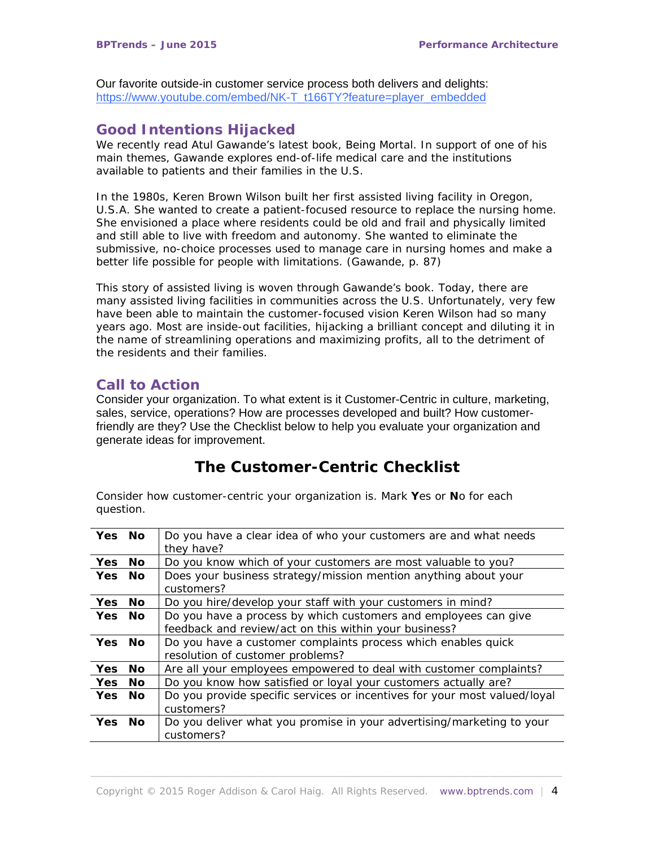Our favorite outside-in customer service process both delivers and delights: [https://www.youtube.com/embed/NK-T\\_t166TY?feature=player\\_embedded](https://www.youtube.com/embed/NK-T_t166TY?feature=player_embedded)

# **Good Intentions Hijacked**

We recently read Atul Gawande's latest book, *Being Mortal.* In support of one of his main themes, Gawande explores end-of-life medical care and the institutions available to patients and their families in the U.S.

In the 1980s, Keren Brown Wilson built her first assisted living facility in Oregon, U.S.A. She wanted to create a patient-focused resource to replace the nursing home. She envisioned a place where residents could be old and frail and physically limited and still able to live with freedom and autonomy. She wanted to eliminate the submissive, no-choice processes used to manage care in nursing homes and make a better life possible for people with limitations. (Gawande, p. 87)

This story of assisted living is woven through Gawande's book. Today, there are many assisted living facilities in communities across the U.S. Unfortunately, very few have been able to maintain the customer-focused vision Keren Wilson had so many years ago. Most are inside-out facilities, hijacking a brilliant concept and diluting it in the name of streamlining operations and maximizing profits, all to the detriment of the residents and their families.

## **Call to Action**

Consider your organization. To what extent is it Customer-Centric in culture, marketing, sales, service, operations? How are processes developed and built? How customerfriendly are they? Use the Checklist below to help you evaluate your organization and generate ideas for improvement.

# **The Customer-Centric Checklist**

Consider how customer-centric your organization is. Mark **Y**es or **N**o for each question.

| Yes No     |     | Do you have a clear idea of who your customers are and what needs             |
|------------|-----|-------------------------------------------------------------------------------|
|            |     | they have?                                                                    |
| <b>Yes</b> | No  | Do you know which of your customers are most valuable to you?                 |
| Yes No     |     | Does your business strategy/mission mention anything about your<br>customers? |
| Yes        | No. | Do you hire/develop your staff with your customers in mind?                   |
| Yes No     |     | Do you have a process by which customers and employees can give               |
|            |     | feedback and review/act on this within your business?                         |
| Yes No     |     | Do you have a customer complaints process which enables quick                 |
|            |     | resolution of customer problems?                                              |
| <b>Yes</b> | No. | Are all your employees empowered to deal with customer complaints?            |
| Yes        | No  | Do you know how satisfied or loyal your customers actually are?               |
| <b>Yes</b> | No  | Do you provide specific services or incentives for your most valued/loyal     |
|            |     | customers?                                                                    |
| Yes No     |     | Do you deliver what you promise in your advertising/marketing to your         |
|            |     | customers?                                                                    |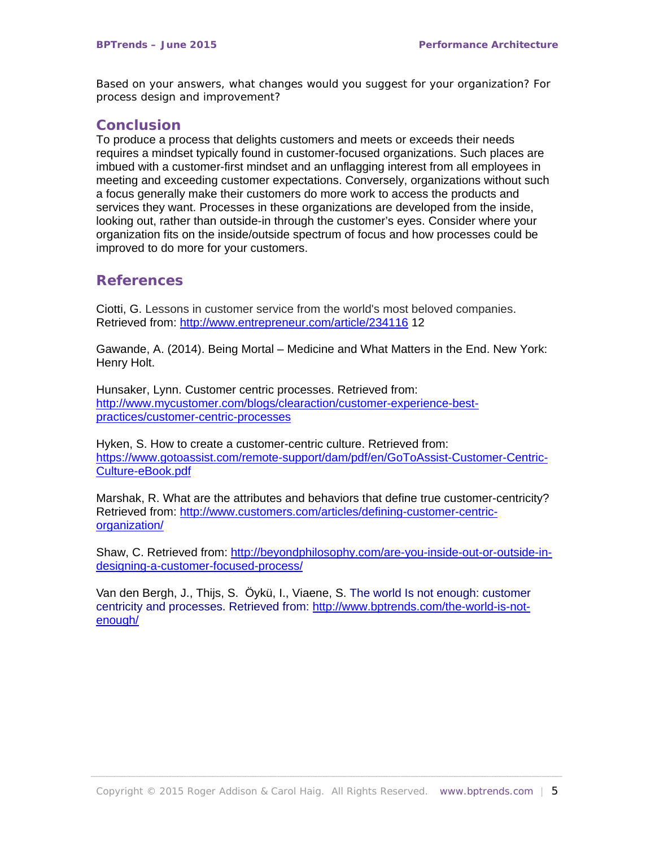Based on your answers, what changes would you suggest for your organization? For process design and improvement?

#### **Conclusion**

To produce a process that delights customers and meets or exceeds their needs requires a mindset typically found in customer-focused organizations. Such places are imbued with a customer-first mindset and an unflagging interest from all employees in meeting and exceeding customer expectations. Conversely, organizations without such a focus generally make their customers do more work to access the products and services they want. Processes in these organizations are developed from the inside, looking out, rather than outside-in through the customer's eyes. Consider where your organization fits on the inside/outside spectrum of focus and how processes could be improved to do more for your customers.

### **References**

Ciotti, G. Lessons in customer service from the world's most beloved companies. Retrieved from:<http://www.entrepreneur.com/article/234116> 12

Gawande, A. (2014). Being Mortal – Medicine and What Matters in the End. New York: Henry Holt.

Hunsaker, Lynn. Customer centric processes. Retrieved from: [http://www.mycustomer.com/blogs/clearaction/customer-experience-best](http://www.mycustomer.com/blogs/clearaction/customer-experience-best-practices/customer-centric-processes)[practices/customer-centric-processes](http://www.mycustomer.com/blogs/clearaction/customer-experience-best-practices/customer-centric-processes) 

Hyken, S. How to create a customer-centric culture. Retrieved from: [https://www.gotoassist.com/remote-support/dam/pdf/en/GoToAssist-Customer-Centric-](https://www.gotoassist.com/remote-support/dam/pdf/en/GoToAssist-Customer-Centric-Culture-eBook.pdf)[Culture-eBook.pdf](https://www.gotoassist.com/remote-support/dam/pdf/en/GoToAssist-Customer-Centric-Culture-eBook.pdf) 

Marshak, R. What are the attributes and behaviors that define true customer-centricity? Retrieved from: [http://www.customers.com/articles/defining-customer-centric](http://www.customers.com/articles/defining-customer-centric-organization/)[organization/](http://www.customers.com/articles/defining-customer-centric-organization/)

Shaw, C. Retrieved from: [http://beyondphilosophy.com/are-you-inside-out-or-outside-in](http://beyondphilosophy.com/are-you-inside-out-or-outside-in-designing-a-customer-focused-process/)[designing-a-customer-focused-process/](http://beyondphilosophy.com/are-you-inside-out-or-outside-in-designing-a-customer-focused-process/)

Van den Bergh, J., Thijs, S. Öykü, I., Viaene, S. The world Is not enough: customer centricity and processes. Retrieved from: [http://www.bptrends.com/the-world-is-not](http://www.bptrends.com/the-world-is-not-enough/)[enough/](http://www.bptrends.com/the-world-is-not-enough/)